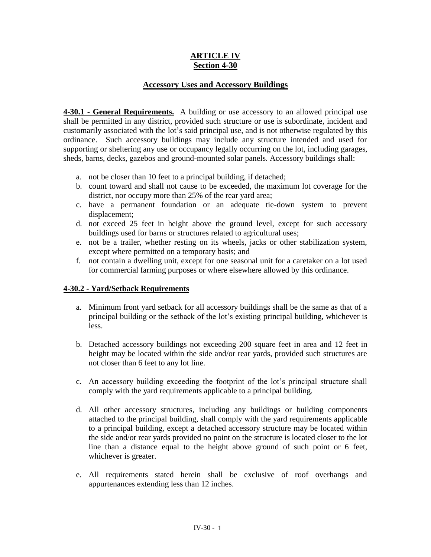## **ARTICLE IV Section 4-30**

## **Accessory Uses and Accessory Buildings**

**4-30.1 - General Requirements.** A building or use accessory to an allowed principal use shall be permitted in any district, provided such structure or use is subordinate, incident and customarily associated with the lot's said principal use, and is not otherwise regulated by this ordinance. Such accessory buildings may include any structure intended and used for supporting or sheltering any use or occupancy legally occurring on the lot, including garages, sheds, barns, decks, gazebos and ground-mounted solar panels. Accessory buildings shall:

- a. not be closer than 10 feet to a principal building, if detached;
- b. count toward and shall not cause to be exceeded, the maximum lot coverage for the district, nor occupy more than 25% of the rear yard area;
- c. have a permanent foundation or an adequate tie-down system to prevent displacement;
- d. not exceed 25 feet in height above the ground level, except for such accessory buildings used for barns or structures related to agricultural uses;
- e. not be a trailer, whether resting on its wheels, jacks or other stabilization system, except where permitted on a temporary basis; and
- f. not contain a dwelling unit, except for one seasonal unit for a caretaker on a lot used for commercial farming purposes or where elsewhere allowed by this ordinance.

## **4-30.2 - Yard/Setback Requirements**

- a. Minimum front yard setback for all accessory buildings shall be the same as that of a principal building or the setback of the lot's existing principal building, whichever is less.
- b. Detached accessory buildings not exceeding 200 square feet in area and 12 feet in height may be located within the side and/or rear yards, provided such structures are not closer than 6 feet to any lot line.
- c. An accessory building exceeding the footprint of the lot's principal structure shall comply with the yard requirements applicable to a principal building.
- d. All other accessory structures, including any buildings or building components attached to the principal building, shall comply with the yard requirements applicable to a principal building, except a detached accessory structure may be located within the side and/or rear yards provided no point on the structure is located closer to the lot line than a distance equal to the height above ground of such point or 6 feet, whichever is greater.
- e. All requirements stated herein shall be exclusive of roof overhangs and appurtenances extending less than 12 inches.